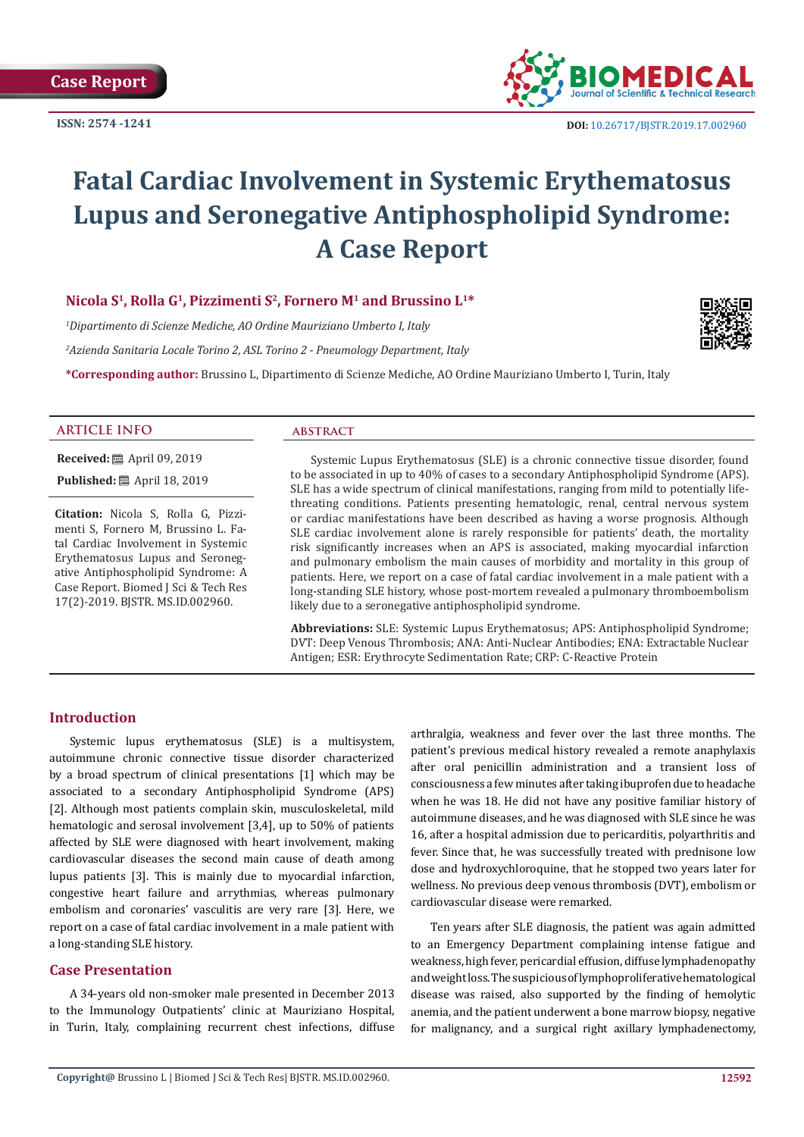**ISSN: 2574 -1241**



# **Fatal Cardiac Involvement in Systemic Erythematosus Lupus and Seronegative Antiphospholipid Syndrome: A Case Report**

# **Nicola S1, Rolla G1, Pizzimenti S2, Fornero M1 and Brussino L1\***

*1 Dipartimento di Scienze Mediche, AO Ordine Mauriziano Umberto I, Italy*

*2 Azienda Sanitaria Locale Torino 2, ASL Torino 2 - Pneumology Department, Italy*

**\*Corresponding author:** Brussino L, Dipartimento di Scienze Mediche, AO Ordine Mauriziano Umberto I, Turin, Italy



#### **ARTICLE INFO abstract**

**Received:** ■ April 09, 2019 **Published:** ■ April 18, 2019

**Citation:** Nicola S, Rolla G, Pizzimenti S, Fornero M, Brussino L. Fatal Cardiac Involvement in Systemic Erythematosus Lupus and Seronegative Antiphospholipid Syndrome: A Case Report. Biomed J Sci & Tech Res 17(2)-2019. BJSTR. MS.ID.002960.

Systemic Lupus Erythematosus (SLE) is a chronic connective tissue disorder, found to be associated in up to 40% of cases to a secondary Antiphospholipid Syndrome (APS). SLE has a wide spectrum of clinical manifestations, ranging from mild to potentially lifethreating conditions. Patients presenting hematologic, renal, central nervous system or cardiac manifestations have been described as having a worse prognosis. Although SLE cardiac involvement alone is rarely responsible for patients' death, the mortality risk significantly increases when an APS is associated, making myocardial infarction and pulmonary embolism the main causes of morbidity and mortality in this group of patients. Here, we report on a case of fatal cardiac involvement in a male patient with a long-standing SLE history, whose post-mortem revealed a pulmonary thromboembolism likely due to a seronegative antiphospholipid syndrome.

**Abbreviations:** SLE: Systemic Lupus Erythematosus; APS: Antiphospholipid Syndrome; DVT: Deep Venous Thrombosis; ANA: Anti-Nuclear Antibodies; ENA: Extractable Nuclear Antigen; ESR: Erythrocyte Sedimentation Rate; CRP: C-Reactive Protein

# **Introduction**

Systemic lupus erythematosus (SLE) is a multisystem, autoimmune chronic connective tissue disorder characterized by a broad spectrum of clinical presentations [1] which may be associated to a secondary Antiphospholipid Syndrome (APS) [2]. Although most patients complain skin, musculoskeletal, mild hematologic and serosal involvement [3,4], up to 50% of patients affected by SLE were diagnosed with heart involvement, making cardiovascular diseases the second main cause of death among lupus patients [3]. This is mainly due to myocardial infarction, congestive heart failure and arrythmias, whereas pulmonary embolism and coronaries' vasculitis are very rare [3]. Here, we report on a case of fatal cardiac involvement in a male patient with a long-standing SLE history.

# **Case Presentation**

A 34-years old non-smoker male presented in December 2013 to the Immunology Outpatients' clinic at Mauriziano Hospital, in Turin, Italy, complaining recurrent chest infections, diffuse arthralgia, weakness and fever over the last three months. The patient's previous medical history revealed a remote anaphylaxis after oral penicillin administration and a transient loss of consciousness a few minutes after taking ibuprofen due to headache when he was 18. He did not have any positive familiar history of autoimmune diseases, and he was diagnosed with SLE since he was 16, after a hospital admission due to pericarditis, polyarthritis and fever. Since that, he was successfully treated with prednisone low dose and hydroxychloroquine, that he stopped two years later for wellness. No previous deep venous thrombosis (DVT), embolism or cardiovascular disease were remarked.

Ten years after SLE diagnosis, the patient was again admitted to an Emergency Department complaining intense fatigue and weakness, high fever, pericardial effusion, diffuse lymphadenopathy and weight loss. The suspicious of lymphoproliferative hematological disease was raised, also supported by the finding of hemolytic anemia, and the patient underwent a bone marrow biopsy, negative for malignancy, and a surgical right axillary lymphadenectomy,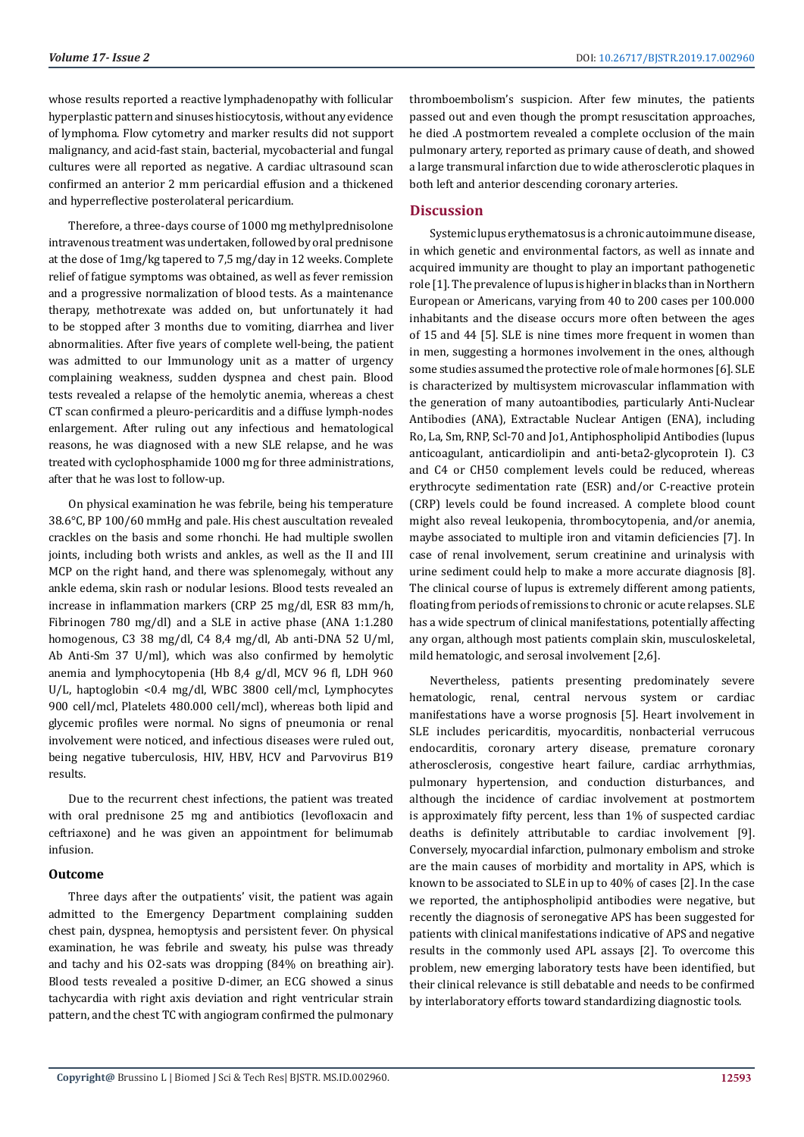whose results reported a reactive lymphadenopathy with follicular hyperplastic pattern and sinuses histiocytosis, without any evidence of lymphoma. Flow cytometry and marker results did not support malignancy, and acid-fast stain, bacterial, mycobacterial and fungal cultures were all reported as negative. A cardiac ultrasound scan confirmed an anterior 2 mm pericardial effusion and a thickened and hyperreflective posterolateral pericardium.

Therefore, a three-days course of 1000 mg methylprednisolone intravenous treatment was undertaken, followed by oral prednisone at the dose of 1mg/kg tapered to 7,5 mg/day in 12 weeks. Complete relief of fatigue symptoms was obtained, as well as fever remission and a progressive normalization of blood tests. As a maintenance therapy, methotrexate was added on, but unfortunately it had to be stopped after 3 months due to vomiting, diarrhea and liver abnormalities. After five years of complete well-being, the patient was admitted to our Immunology unit as a matter of urgency complaining weakness, sudden dyspnea and chest pain. Blood tests revealed a relapse of the hemolytic anemia, whereas a chest CT scan confirmed a pleuro-pericarditis and a diffuse lymph-nodes enlargement. After ruling out any infectious and hematological reasons, he was diagnosed with a new SLE relapse, and he was treated with cyclophosphamide 1000 mg for three administrations, after that he was lost to follow-up.

On physical examination he was febrile, being his temperature 38.6°C, BP 100/60 mmHg and pale. His chest auscultation revealed crackles on the basis and some rhonchi. He had multiple swollen joints, including both wrists and ankles, as well as the II and III MCP on the right hand, and there was splenomegaly, without any ankle edema, skin rash or nodular lesions. Blood tests revealed an increase in inflammation markers (CRP 25 mg/dl, ESR 83 mm/h, Fibrinogen 780 mg/dl) and a SLE in active phase (ANA 1:1.280 homogenous, C3 38 mg/dl, C4 8,4 mg/dl, Ab anti-DNA 52 U/ml, Ab Anti-Sm 37 U/ml), which was also confirmed by hemolytic anemia and lymphocytopenia (Hb 8,4 g/dl, MCV 96 fl, LDH 960 U/L, haptoglobin <0.4 mg/dl, WBC 3800 cell/mcl, Lymphocytes 900 cell/mcl, Platelets 480.000 cell/mcl), whereas both lipid and glycemic profiles were normal. No signs of pneumonia or renal involvement were noticed, and infectious diseases were ruled out, being negative tuberculosis, HIV, HBV, HCV and Parvovirus B19 results.

Due to the recurrent chest infections, the patient was treated with oral prednisone 25 mg and antibiotics (levofloxacin and ceftriaxone) and he was given an appointment for belimumab infusion.

#### **Outcome**

Three days after the outpatients' visit, the patient was again admitted to the Emergency Department complaining sudden chest pain, dyspnea, hemoptysis and persistent fever. On physical examination, he was febrile and sweaty, his pulse was thready and tachy and his O2-sats was dropping (84% on breathing air). Blood tests revealed a positive D-dimer, an ECG showed a sinus tachycardia with right axis deviation and right ventricular strain pattern, and the chest TC with angiogram confirmed the pulmonary thromboembolism's suspicion. After few minutes, the patients passed out and even though the prompt resuscitation approaches, he died .A postmortem revealed a complete occlusion of the main pulmonary artery, reported as primary cause of death, and showed a large transmural infarction due to wide atherosclerotic plaques in both left and anterior descending coronary arteries.

# **Discussion**

Systemic lupus erythematosus is a chronic autoimmune disease, in which genetic and environmental factors, as well as innate and acquired immunity are thought to play an important pathogenetic role [1]. The prevalence of lupus is higher in blacks than in Northern European or Americans, varying from 40 to 200 cases per 100.000 inhabitants and the disease occurs more often between the ages of 15 and 44 [5]. SLE is nine times more frequent in women than in men, suggesting a hormones involvement in the ones, although some studies assumed the protective role of male hormones [6]. SLE is characterized by multisystem microvascular inflammation with the generation of many autoantibodies, particularly Anti-Nuclear Antibodies (ANA), Extractable Nuclear Antigen (ENA), including Ro, La, Sm, RNP, Scl-70 and Jo1, Antiphospholipid Antibodies (lupus anticoagulant, anticardiolipin and anti-beta2-glycoprotein I). C3 and C4 or CH50 complement levels could be reduced, whereas erythrocyte sedimentation rate (ESR) and/or C-reactive protein (CRP) levels could be found increased. A complete blood count might also reveal leukopenia, thrombocytopenia, and/or anemia, maybe associated to multiple iron and vitamin deficiencies [7]. In case of renal involvement, serum creatinine and urinalysis with urine sediment could help to make a more accurate diagnosis [8]. The clinical course of lupus is extremely different among patients, floating from periods of remissions to chronic or acute relapses. SLE has a wide spectrum of clinical manifestations, potentially affecting any organ, although most patients complain skin, musculoskeletal, mild hematologic, and serosal involvement [2,6].

Nevertheless, patients presenting predominately severe hematologic, renal, central nervous system or cardiac manifestations have a worse prognosis [5]. Heart involvement in SLE includes pericarditis, myocarditis, nonbacterial verrucous endocarditis, coronary artery disease, premature coronary atherosclerosis, congestive heart failure, cardiac arrhythmias, pulmonary hypertension, and conduction disturbances, and although the incidence of cardiac involvement at postmortem is approximately fifty percent, less than 1% of suspected cardiac deaths is definitely attributable to cardiac involvement [9]. Conversely, myocardial infarction, pulmonary embolism and stroke are the main causes of morbidity and mortality in APS, which is known to be associated to SLE in up to 40% of cases [2]. In the case we reported, the antiphospholipid antibodies were negative, but recently the diagnosis of seronegative APS has been suggested for patients with clinical manifestations indicative of APS and negative results in the commonly used APL assays [2]. To overcome this problem, new emerging laboratory tests have been identified, but their clinical relevance is still debatable and needs to be confirmed by interlaboratory efforts toward standardizing diagnostic tools.